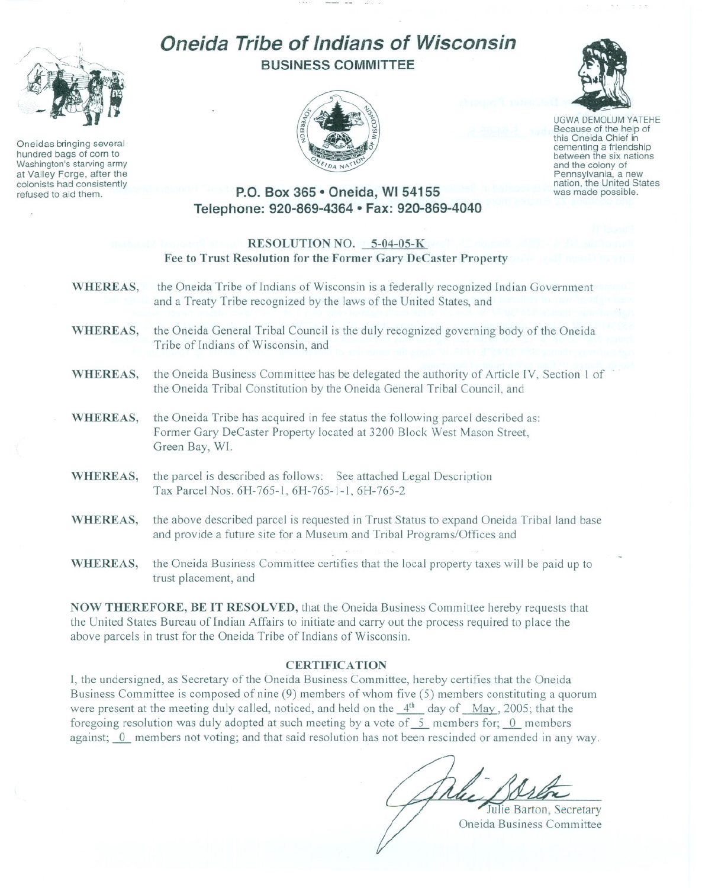

Oneidas bringing several hundred bags of corn to Washington's starving army at Valley Forge, after the colonists had consistently refused to aid them.

# **Oneida Tribe of Indians of Wisconsin BUSINESS COMMITTEE**





UGWA DEMOLUM YATEHE Because of the help of this Oneida Chief in<br>cementing a friendship between the six nations and the colony of<br>Pennsylvania, a new nation, the United States was made possible.

## **P.O. Box 365· Oneida, WI 54155 Telephone: 920-869-4364 • Fax: 920-869-4040**

### RESOLUTION NO. 5-04-05-K Fee to Trust Resolution for the Former Gary DeCaster Property

- WHEREAS, the Oneida Tribe of Indians of Wisconsin is a federally recognized Indian Government and a Treaty Tribe recognized by the laws of the United States, and WHEREAS, the Oneida General Tribal Council is the duly recognized governing body of the Oneida Tribe of Indians of Wisconsin, and
- WHEREAS, the Oneida Business Committee has be delegated the authority of Article IV, Section 1 of the Oneida Tribal Constitution by the Oneida General Tribal Council, and
- WHEREAS, the Oneida Tribe has acquired in fee status the following parcel described as: Former Gary DeCaster Property located at 3200 Block West Mason Street, Green Bay, WI.
- WHEREAS, the parcel is described as follows: See attached Legal Description Tax Parcel Nos. 6H-765-1, 6H-765-1-1, 6H-765-2
- WHEREAS, the above described parcel is requested in Trust Status to expand Oneida Tribal land base and provide a future site for a Museum and Tribal Programs/Offices and
- WHEREAS, the Oneida Business Committee certifies that the local property taxes will be paid up to trust placement, and

NOW THEREFORE, BE IT RESOLVED, that the Oneida Business Committee hereby requests that the United States Bureau of Indian Affairs to initiate and carry out the process required to place the above parcels in trust for the Oneida Tribe of Indians of Wisconsin.

#### **CERTIFICATION**

I, the undersigned, as Secretary of the Oneida Business Committee, hereby certifies that the Oneida Business Committee is composed of nine (9) members of whom five (5) members constituting a quorum were present at the meeting duly called, noticed, and held on the  $4<sup>th</sup>$  day of May, 2005; that the foregoing resolution was duly adopted at such meeting by a vote of  $\,$  5 members for;  $\,$  0 members against; 0 members not voting; and that said resolution has not been rescinded or amended in any way.

Julie Barton, Secretary

Oneida Business Committee